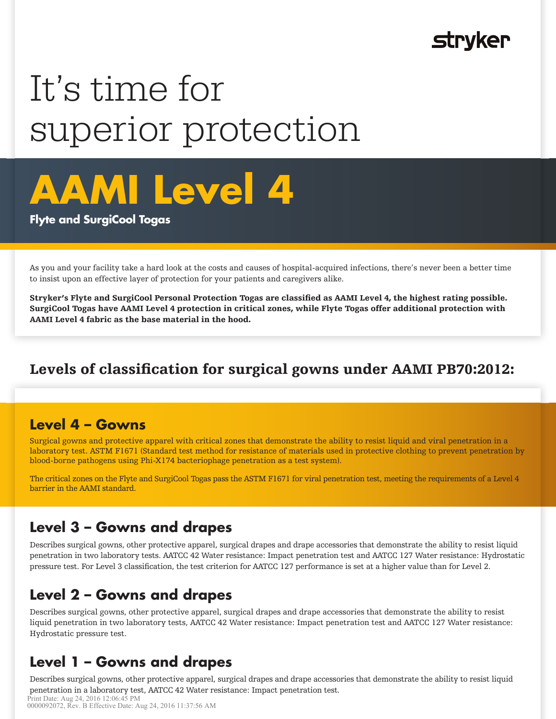## **Stryker**

# It's time for superior protection



#### **Flyte and SurgiCool Togas**

As you and your facility take a hard look at the costs and causes of hospital-acquired infections, there's never been a better time to insist upon an effective layer of protection for your patients and caregivers alike.

Stryker's Flyte and SurgiCool Personal Protection Togas are classified as AAMI Level 4, the highest rating possible. SurgiCool Togas have AAMI Level 4 protection in critical zones, while Flyte Togas offer additional protection with AAMI Level 4 fabric as the base material in the hood.

## Levels of classification for surgical gowns under AAMI PB70:2012:

#### **Level 4 – Gowns**

Surgical gowns and protective apparel with critical zones that demonstrate the ability to resist liquid and viral penetration in a laboratory test. ASTM F1671 (Standard test method for resistance of materials used in protective clothing to prevent penetration by blood-borne pathogens using Phi-X174 bacteriophage penetration as a test system).

The critical zones on the Flyte and SurgiCool Togas pass the ASTM F1671 for viral penetration test, meeting the requirements of a Level 4 barrier in the AAMI standard.

#### **Level 3 – Gowns and drapes**

Describes surgical gowns, other protective apparel, surgical drapes and drape accessories that demonstrate the ability to resist liquid penetration in two laboratory tests. AATCC 42 Water resistance: Impact penetration test and AATCC 127 Water resistance: Hydrostatic pressure test. For Level 3 classification, the test criterion for AATCC 127 performance is set at a higher value than for Level 2.

## **Level 2 – Gowns and drapes**

Describes surgical gowns, other protective apparel, surgical drapes and drape accessories that demonstrate the ability to resist liquid penetration in two laboratory tests, AATCC 42 Water resistance: Impact penetration test and AATCC 127 Water resistance: Hydrostatic pressure test.

## **Level 1 – Gowns and drapes**

Describes surgical gowns, other protective apparel, surgical drapes and drape accessories that demonstrate the ability to resist liquid penetration in a laboratory test, AATCC 42 Water resistance: Impact penetration test.